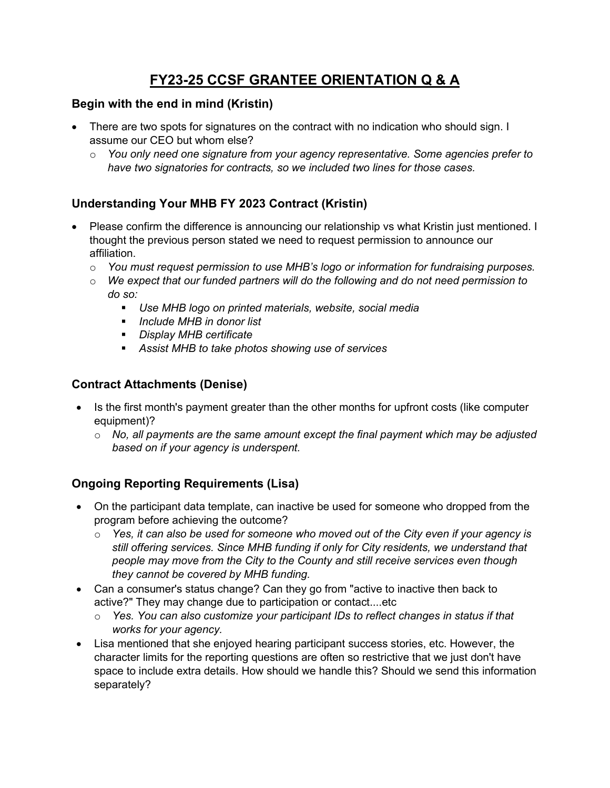# **FY23-25 CCSF GRANTEE ORIENTATION Q & A**

### **Begin with the end in mind (Kristin)**

- There are two spots for signatures on the contract with no indication who should sign. I assume our CEO but whom else?
	- o *You only need one signature from your agency representative. Some agencies prefer to have two signatories for contracts, so we included two lines for those cases.*

## **Understanding Your MHB FY 2023 Contract (Kristin)**

- Please confirm the difference is announcing our relationship vs what Kristin just mentioned. I thought the previous person stated we need to request permission to announce our affiliation.
	- o *You must request permission to use MHB's logo or information for fundraising purposes.*
	- o *We expect that our funded partners will do the following and do not need permission to do so:*
		- *Use MHB logo on printed materials, website, social media*
		- *Include MHB in donor list*
		- *Display MHB certificate*
		- *Assist MHB to take photos showing use of services*

### **Contract Attachments (Denise)**

- Is the first month's payment greater than the other months for upfront costs (like computer equipment)?
	- o *No, all payments are the same amount except the final payment which may be adjusted based on if your agency is underspent.*

## **Ongoing Reporting Requirements (Lisa)**

- On the participant data template, can inactive be used for someone who dropped from the program before achieving the outcome?
	- o *Yes, it can also be used for someone who moved out of the City even if your agency is still offering services. Since MHB funding if only for City residents, we understand that people may move from the City to the County and still receive services even though they cannot be covered by MHB funding.*
- Can a consumer's status change? Can they go from "active to inactive then back to active?" They may change due to participation or contact....etc
	- o *Yes. You can also customize your participant IDs to reflect changes in status if that works for your agency.*
- Lisa mentioned that she enjoyed hearing participant success stories, etc. However, the character limits for the reporting questions are often so restrictive that we just don't have space to include extra details. How should we handle this? Should we send this information separately?